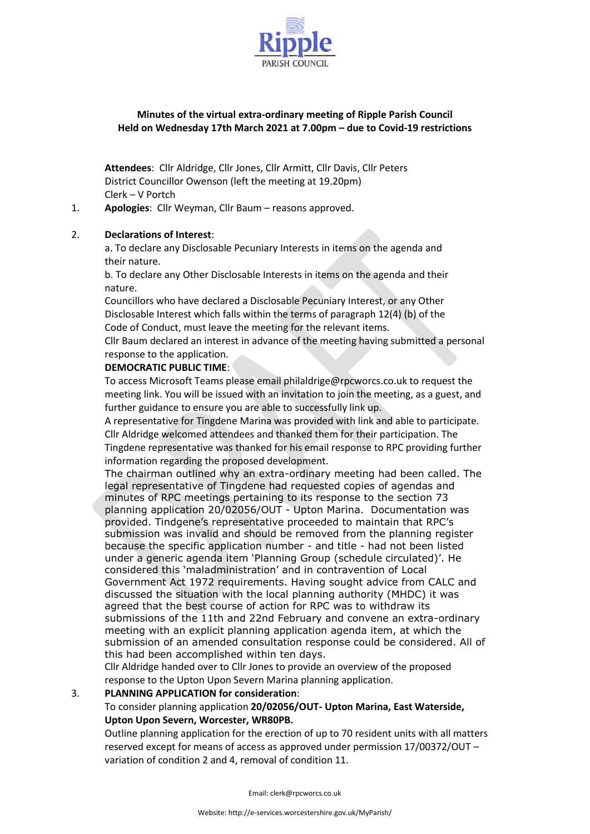

# **Minutes of the virtual extra-ordinary meeting of Ripple Parish Council Held on Wednesday 17th March 2021 at 7.00pm – due to Covid-19 restrictions**

**Attendees**: Cllr Aldridge, Cllr Jones, Cllr Armitt, Cllr Davis, Cllr Peters District Councillor Owenson (left the meeting at 19.20pm) Clerk – V Portch

1. **Apologies**: Cllr Weyman, Cllr Baum – reasons approved.

## 2. **Declarations of Interest**:

a. To declare any Disclosable Pecuniary Interests in items on the agenda and their nature.

b. To declare any Other Disclosable Interests in items on the agenda and their nature.

Councillors who have declared a Disclosable Pecuniary Interest, or any Other Disclosable Interest which falls within the terms of paragraph 12(4) (b) of the Code of Conduct, must leave the meeting for the relevant items.

Cllr Baum declared an interest in advance of the meeting having submitted a personal response to the application.

### **DEMOCRATIC PUBLIC TIME**:

To access Microsoft Teams please email philaldrige@rpcworcs.co.uk to request the meeting link. You will be issued with an invitation to join the meeting, as a guest, and further guidance to ensure you are able to successfully link up.

A representative for Tingdene Marina was provided with link and able to participate. Cllr Aldridge welcomed attendees and thanked them for their participation. The Tingdene representative was thanked for his email response to RPC providing further information regarding the proposed development.

The chairman outlined why an extra-ordinary meeting had been called. The legal representative of Tingdene had requested copies of agendas and minutes of RPC meetings pertaining to its response to the section 73 planning application 20/02056/OUT - Upton Marina. Documentation was provided. Tindgene's representative proceeded to maintain that RPC's submission was invalid and should be removed from the planning register because the specific application number - and title - had not been listed under a generic agenda item 'Planning Group (schedule circulated)'. He considered this 'maladministration' and in contravention of Local Government Act 1972 requirements. Having sought advice from CALC and discussed the situation with the local planning authority (MHDC) it was agreed that the best course of action for RPC was to withdraw its submissions of the 11th and 22nd February and convene an extra-ordinary meeting with an explicit planning application agenda item, at which the submission of an amended consultation response could be considered. All of this had been accomplished within ten days.

Cllr Aldridge handed over to Cllr Jones to provide an overview of the proposed response to the Upton Upon Severn Marina planning application.

#### 3. **PLANNING APPLICATION for consideration**:

# To consider planning application **20/02056/OUT- Upton Marina, East Waterside, Upton Upon Severn, Worcester, WR80PB.**

Outline planning application for the erection of up to 70 resident units with all matters reserved except for means of access as approved under permission 17/00372/OUT – variation of condition 2 and 4, removal of condition 11.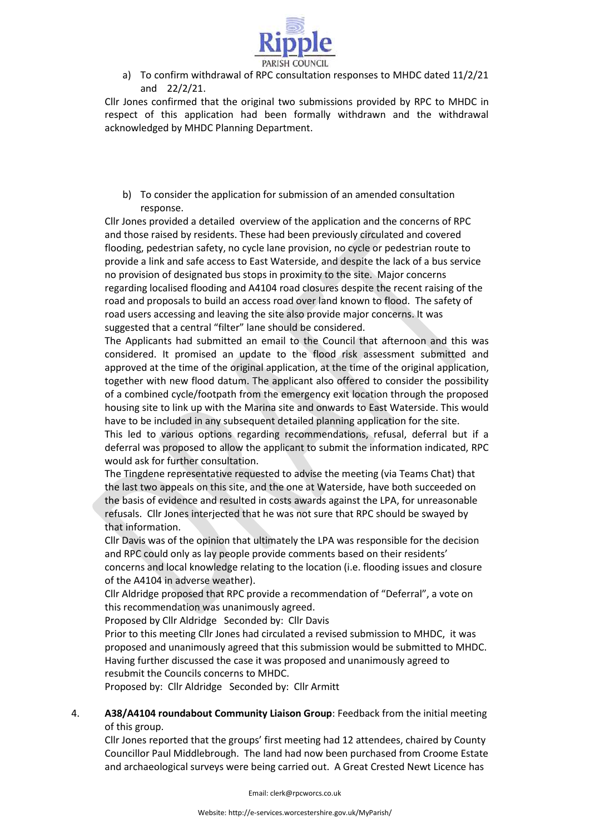

a) To confirm withdrawal of RPC consultation responses to MHDC dated 11/2/21 and 22/2/21.

Cllr Jones confirmed that the original two submissions provided by RPC to MHDC in respect of this application had been formally withdrawn and the withdrawal acknowledged by MHDC Planning Department.

b) To consider the application for submission of an amended consultation response.

Cllr Jones provided a detailed overview of the application and the concerns of RPC and those raised by residents. These had been previously circulated and covered flooding, pedestrian safety, no cycle lane provision, no cycle or pedestrian route to provide a link and safe access to East Waterside, and despite the lack of a bus service no provision of designated bus stops in proximity to the site. Major concerns regarding localised flooding and A4104 road closures despite the recent raising of the road and proposals to build an access road over land known to flood. The safety of road users accessing and leaving the site also provide major concerns. It was suggested that a central "filter" lane should be considered.

The Applicants had submitted an email to the Council that afternoon and this was considered. It promised an update to the flood risk assessment submitted and approved at the time of the original application, at the time of the original application, together with new flood datum. The applicant also offered to consider the possibility of a combined cycle/footpath from the emergency exit location through the proposed housing site to link up with the Marina site and onwards to East Waterside. This would have to be included in any subsequent detailed planning application for the site.

This led to various options regarding recommendations, refusal, deferral but if a deferral was proposed to allow the applicant to submit the information indicated, RPC would ask for further consultation.

The Tingdene representative requested to advise the meeting (via Teams Chat) that the last two appeals on this site, and the one at Waterside, have both succeeded on the basis of evidence and resulted in costs awards against the LPA, for unreasonable refusals. Cllr Jones interjected that he was not sure that RPC should be swayed by that information.

Cllr Davis was of the opinion that ultimately the LPA was responsible for the decision and RPC could only as lay people provide comments based on their residents' concerns and local knowledge relating to the location (i.e. flooding issues and closure of the A4104 in adverse weather).

Cllr Aldridge proposed that RPC provide a recommendation of "Deferral", a vote on this recommendation was unanimously agreed.

Proposed by Cllr Aldridge Seconded by: Cllr Davis

Prior to this meeting Cllr Jones had circulated a revised submission to MHDC, it was proposed and unanimously agreed that this submission would be submitted to MHDC. Having further discussed the case it was proposed and unanimously agreed to resubmit the Councils concerns to MHDC.

Proposed by: Cllr Aldridge Seconded by: Cllr Armitt

4. **A38/A4104 roundabout Community Liaison Group**: Feedback from the initial meeting of this group.

Cllr Jones reported that the groups' first meeting had 12 attendees, chaired by County Councillor Paul Middlebrough. The land had now been purchased from Croome Estate and archaeological surveys were being carried out. A Great Crested Newt Licence has